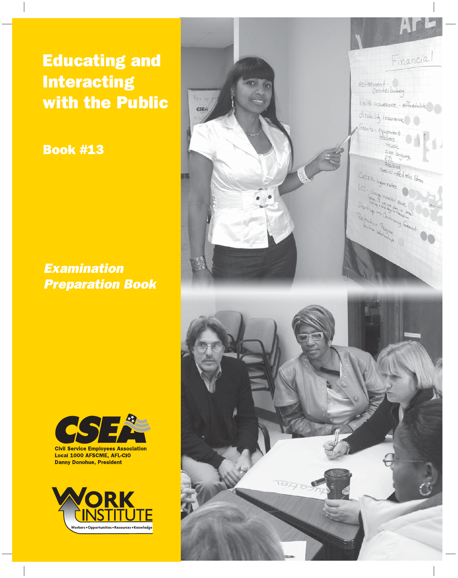Educating and **Interacting** with the Public

Book #13

*Examination Preparation Book*





**Civil Service Employees Association** Local 1000 AFSCME, AFL-CIO **Danny Donohue, President** 

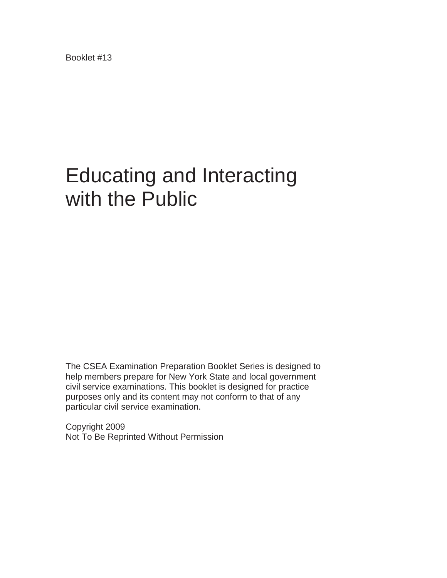Booklet #13

# Educating and Interacting with the Public

The CSEA Examination Preparation Booklet Series is designed to help members prepare for New York State and local government civil service examinations. This booklet is designed for practice purposes only and its content may not conform to that of any particular civil service examination.

Copyright 2009 Not To Be Reprinted Without Permission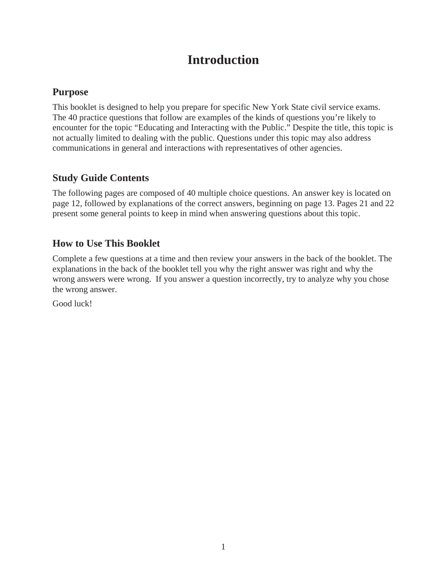# **Introduction**

### **Purpose**

This booklet is designed to help you prepare for specific New York State civil service exams. The 40 practice questions that follow are examples of the kinds of questions you're likely to encounter for the topic "Educating and Interacting with the Public." Despite the title, this topic is not actually limited to dealing with the public. Questions under this topic may also address communications in general and interactions with representatives of other agencies.

### **Study Guide Contents**

The following pages are composed of 40 multiple choice questions. An answer key is located on page 12, followed by explanations of the correct answers, beginning on page 13. Pages 21 and 22 present some general points to keep in mind when answering questions about this topic.

### **How to Use This Booklet**

Complete a few questions at a time and then review your answers in the back of the booklet. The explanations in the back of the booklet tell you why the right answer was right and why the wrong answers were wrong. If you answer a question incorrectly, try to analyze why you chose the wrong answer.

Good luck!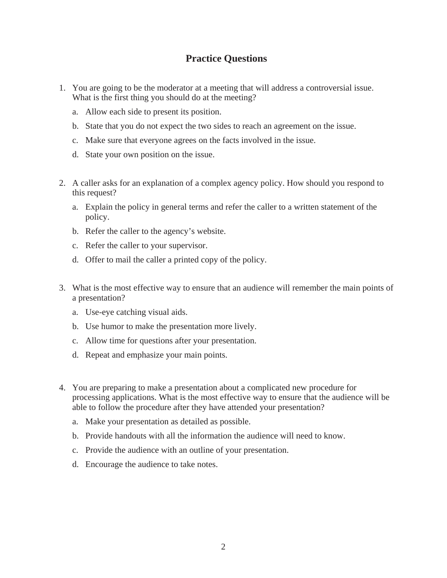### **Practice Questions**

- 1. You are going to be the moderator at a meeting that will address a controversial issue. What is the first thing you should do at the meeting?
	- a. Allow each side to present its position.
	- b. State that you do not expect the two sides to reach an agreement on the issue.
	- c. Make sure that everyone agrees on the facts involved in the issue.
	- d. State your own position on the issue.
- 2. A caller asks for an explanation of a complex agency policy. How should you respond to this request?
	- a. Explain the policy in general terms and refer the caller to a written statement of the policy.
	- b. Refer the caller to the agency's website.
	- c. Refer the caller to your supervisor.
	- d. Offer to mail the caller a printed copy of the policy.
- 3. What is the most effective way to ensure that an audience will remember the main points of a presentation?
	- a. Use-eye catching visual aids.
	- b. Use humor to make the presentation more lively.
	- c. Allow time for questions after your presentation.
	- d. Repeat and emphasize your main points.
- 4. You are preparing to make a presentation about a complicated new procedure for processing applications. What is the most effective way to ensure that the audience will be able to follow the procedure after they have attended your presentation?
	- a. Make your presentation as detailed as possible.
	- b. Provide handouts with all the information the audience will need to know.
	- c. Provide the audience with an outline of your presentation.
	- d. Encourage the audience to take notes.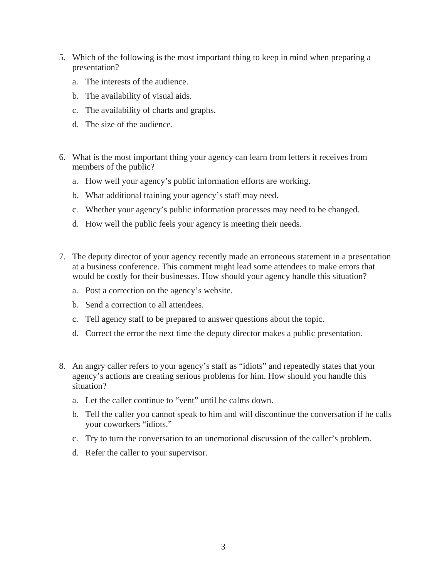- 5. Which of the following is the most important thing to keep in mind when preparing a presentation?
	- a. The interests of the audience.
	- b. The availability of visual aids.
	- c. The availability of charts and graphs.
	- d. The size of the audience.
- 6. What is the most important thing your agency can learn from letters it receives from members of the public?
	- a. How well your agency's public information efforts are working.
	- b. What additional training your agency's staff may need.
	- c. Whether your agency's public information processes may need to be changed.
	- d. How well the public feels your agency is meeting their needs.
- 7. The deputy director of your agency recently made an erroneous statement in a presentation at a business conference. This comment might lead some attendees to make errors that would be costly for their businesses. How should your agency handle this situation?
	- a. Post a correction on the agency's website.
	- b. Send a correction to all attendees.
	- c. Tell agency staff to be prepared to answer questions about the topic.
	- d. Correct the error the next time the deputy director makes a public presentation.
- 8. An angry caller refers to your agency's staff as "idiots" and repeatedly states that your agency's actions are creating serious problems for him. How should you handle this situation?
	- a. Let the caller continue to "vent" until he calms down.
	- b. Tell the caller you cannot speak to him and will discontinue the conversation if he calls your coworkers "idiots."
	- c. Try to turn the conversation to an unemotional discussion of the caller's problem.
	- d. Refer the caller to your supervisor.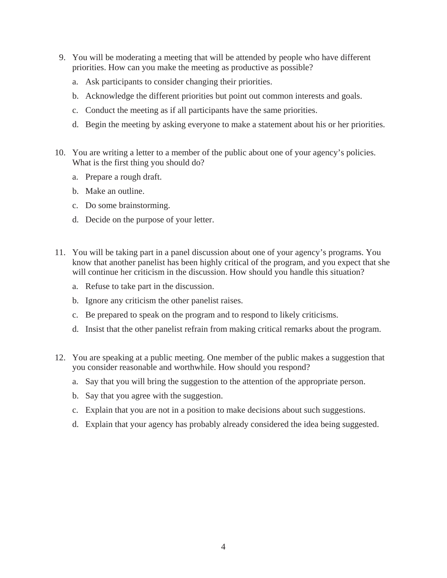- 9. You will be moderating a meeting that will be attended by people who have different priorities. How can you make the meeting as productive as possible?
	- a. Ask participants to consider changing their priorities.
	- b. Acknowledge the different priorities but point out common interests and goals.
	- c. Conduct the meeting as if all participants have the same priorities.
	- d. Begin the meeting by asking everyone to make a statement about his or her priorities.
- 10. You are writing a letter to a member of the public about one of your agency's policies. What is the first thing you should do?
	- a. Prepare a rough draft.
	- b. Make an outline.
	- c. Do some brainstorming.
	- d. Decide on the purpose of your letter.
- 11. You will be taking part in a panel discussion about one of your agency's programs. You know that another panelist has been highly critical of the program, and you expect that she will continue her criticism in the discussion. How should you handle this situation?
	- a. Refuse to take part in the discussion.
	- b. Ignore any criticism the other panelist raises.
	- c. Be prepared to speak on the program and to respond to likely criticisms.
	- d. Insist that the other panelist refrain from making critical remarks about the program.
- 12. You are speaking at a public meeting. One member of the public makes a suggestion that you consider reasonable and worthwhile. How should you respond?
	- a. Say that you will bring the suggestion to the attention of the appropriate person.
	- b. Say that you agree with the suggestion.
	- c. Explain that you are not in a position to make decisions about such suggestions.
	- d. Explain that your agency has probably already considered the idea being suggested.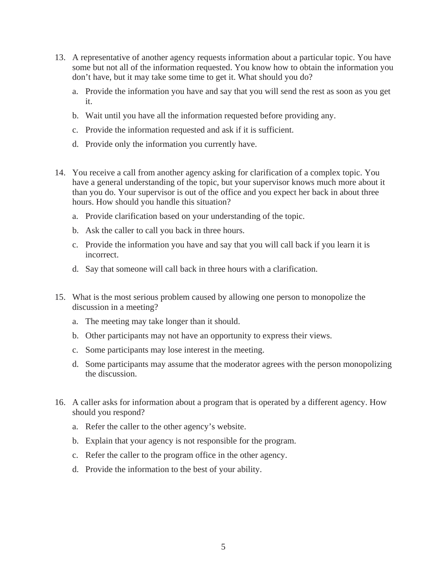- 13. A representative of another agency requests information about a particular topic. You have some but not all of the information requested. You know how to obtain the information you don't have, but it may take some time to get it. What should you do?
	- a. Provide the information you have and say that you will send the rest as soon as you get it.
	- b. Wait until you have all the information requested before providing any.
	- c. Provide the information requested and ask if it is sufficient.
	- d. Provide only the information you currently have.
- 14. You receive a call from another agency asking for clarification of a complex topic. You have a general understanding of the topic, but your supervisor knows much more about it than you do. Your supervisor is out of the office and you expect her back in about three hours. How should you handle this situation?
	- a. Provide clarification based on your understanding of the topic.
	- b. Ask the caller to call you back in three hours.
	- c. Provide the information you have and say that you will call back if you learn it is incorrect.
	- d. Say that someone will call back in three hours with a clarification.
- 15. What is the most serious problem caused by allowing one person to monopolize the discussion in a meeting?
	- a. The meeting may take longer than it should.
	- b. Other participants may not have an opportunity to express their views.
	- c. Some participants may lose interest in the meeting.
	- d. Some participants may assume that the moderator agrees with the person monopolizing the discussion.
- 16. A caller asks for information about a program that is operated by a different agency. How should you respond?
	- a. Refer the caller to the other agency's website.
	- b. Explain that your agency is not responsible for the program.
	- c. Refer the caller to the program office in the other agency.
	- d. Provide the information to the best of your ability.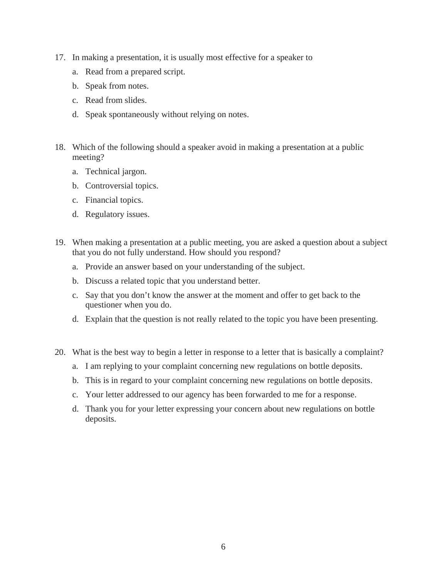- 17. In making a presentation, it is usually most effective for a speaker to
	- a. Read from a prepared script.
	- b. Speak from notes.
	- c. Read from slides.
	- d. Speak spontaneously without relying on notes.
- 18. Which of the following should a speaker avoid in making a presentation at a public meeting?
	- a. Technical jargon.
	- b. Controversial topics.
	- c. Financial topics.
	- d. Regulatory issues.
- 19. When making a presentation at a public meeting, you are asked a question about a subject that you do not fully understand. How should you respond?
	- a. Provide an answer based on your understanding of the subject.
	- b. Discuss a related topic that you understand better.
	- c. Say that you don't know the answer at the moment and offer to get back to the questioner when you do.
	- d. Explain that the question is not really related to the topic you have been presenting.
- 20. What is the best way to begin a letter in response to a letter that is basically a complaint?
	- a. I am replying to your complaint concerning new regulations on bottle deposits.
	- b. This is in regard to your complaint concerning new regulations on bottle deposits.
	- c. Your letter addressed to our agency has been forwarded to me for a response.
	- d. Thank you for your letter expressing your concern about new regulations on bottle deposits.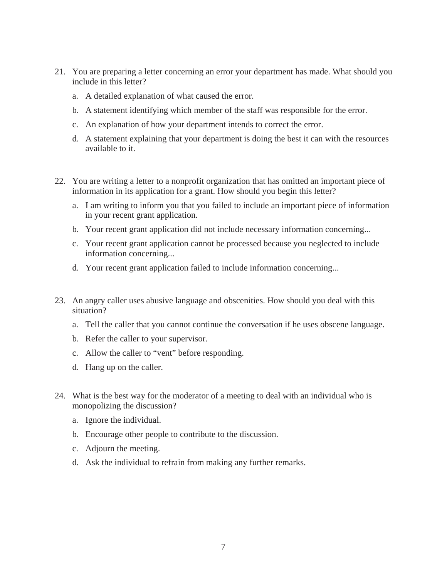- 21. You are preparing a letter concerning an error your department has made. What should you include in this letter?
	- a. A detailed explanation of what caused the error.
	- b. A statement identifying which member of the staff was responsible for the error.
	- c. An explanation of how your department intends to correct the error.
	- d. A statement explaining that your department is doing the best it can with the resources available to it.
- 22. You are writing a letter to a nonprofit organization that has omitted an important piece of information in its application for a grant. How should you begin this letter?
	- a. I am writing to inform you that you failed to include an important piece of information in your recent grant application.
	- b. Your recent grant application did not include necessary information concerning...
	- c. Your recent grant application cannot be processed because you neglected to include information concerning...
	- d. Your recent grant application failed to include information concerning...
- 23. An angry caller uses abusive language and obscenities. How should you deal with this situation?
	- a. Tell the caller that you cannot continue the conversation if he uses obscene language.
	- b. Refer the caller to your supervisor.
	- c. Allow the caller to "vent" before responding.
	- d. Hang up on the caller.
- 24. What is the best way for the moderator of a meeting to deal with an individual who is monopolizing the discussion?
	- a. Ignore the individual.
	- b. Encourage other people to contribute to the discussion.
	- c. Adjourn the meeting.
	- d. Ask the individual to refrain from making any further remarks.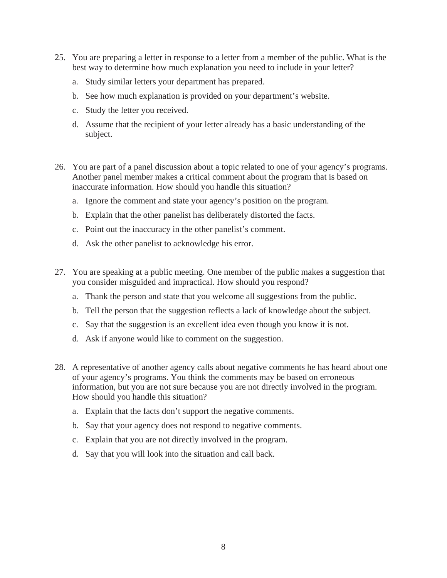- 25. You are preparing a letter in response to a letter from a member of the public. What is the best way to determine how much explanation you need to include in your letter?
	- a. Study similar letters your department has prepared.
	- b. See how much explanation is provided on your department's website.
	- c. Study the letter you received.
	- d. Assume that the recipient of your letter already has a basic understanding of the subject.
- 26. You are part of a panel discussion about a topic related to one of your agency's programs. Another panel member makes a critical comment about the program that is based on inaccurate information. How should you handle this situation?
	- a. Ignore the comment and state your agency's position on the program.
	- b. Explain that the other panelist has deliberately distorted the facts.
	- c. Point out the inaccuracy in the other panelist's comment.
	- d. Ask the other panelist to acknowledge his error.
- 27. You are speaking at a public meeting. One member of the public makes a suggestion that you consider misguided and impractical. How should you respond?
	- a. Thank the person and state that you welcome all suggestions from the public.
	- b. Tell the person that the suggestion reflects a lack of knowledge about the subject.
	- c. Say that the suggestion is an excellent idea even though you know it is not.
	- d. Ask if anyone would like to comment on the suggestion.
- 28. A representative of another agency calls about negative comments he has heard about one of your agency's programs. You think the comments may be based on erroneous information, but you are not sure because you are not directly involved in the program. How should you handle this situation?
	- a. Explain that the facts don't support the negative comments.
	- b. Say that your agency does not respond to negative comments.
	- c. Explain that you are not directly involved in the program.
	- d. Say that you will look into the situation and call back.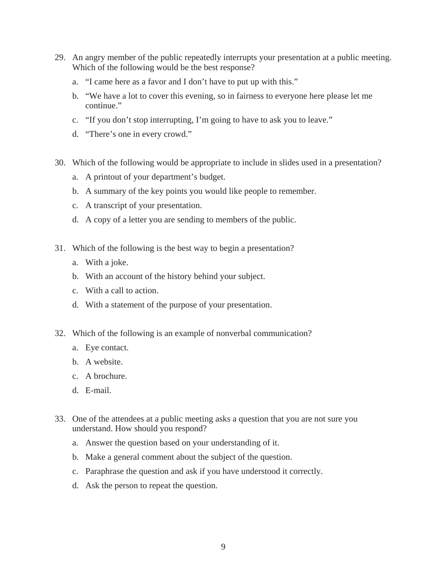- 29. An angry member of the public repeatedly interrupts your presentation at a public meeting. Which of the following would be the best response?
	- a. "I came here as a favor and I don't have to put up with this."
	- b. "We have a lot to cover this evening, so in fairness to everyone here please let me continue."
	- c. "If you don't stop interrupting, I'm going to have to ask you to leave."
	- d. "There's one in every crowd."
- 30. Which of the following would be appropriate to include in slides used in a presentation?
	- a. A printout of your department's budget.
	- b. A summary of the key points you would like people to remember.
	- c. A transcript of your presentation.
	- d. A copy of a letter you are sending to members of the public.
- 31. Which of the following is the best way to begin a presentation?
	- a. With a joke.
	- b. With an account of the history behind your subject.
	- c. With a call to action.
	- d. With a statement of the purpose of your presentation.
- 32. Which of the following is an example of nonverbal communication?
	- a. Eye contact.
	- b. A website.
	- c. A brochure.
	- d. E-mail.
- 33. One of the attendees at a public meeting asks a question that you are not sure you understand. How should you respond?
	- a. Answer the question based on your understanding of it.
	- b. Make a general comment about the subject of the question.
	- c. Paraphrase the question and ask if you have understood it correctly.
	- d. Ask the person to repeat the question.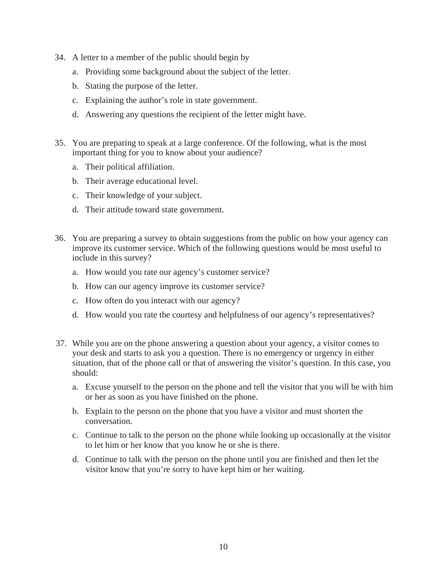- 34. A letter to a member of the public should begin by
	- a. Providing some background about the subject of the letter.
	- b. Stating the purpose of the letter.
	- c. Explaining the author's role in state government.
	- d. Answering any questions the recipient of the letter might have.
- 35. You are preparing to speak at a large conference. Of the following, what is the most important thing for you to know about your audience?
	- a. Their political affiliation.
	- b. Their average educational level.
	- c. Their knowledge of your subject.
	- d. Their attitude toward state government.
- 36. You are preparing a survey to obtain suggestions from the public on how your agency can improve its customer service. Which of the following questions would be most useful to include in this survey?
	- a. How would you rate our agency's customer service?
	- b. How can our agency improve its customer service?
	- c. How often do you interact with our agency?
	- d. How would you rate the courtesy and helpfulness of our agency's representatives?
- 37. While you are on the phone answering a question about your agency, a visitor comes to your desk and starts to ask you a question. There is no emergency or urgency in either situation, that of the phone call or that of answering the visitor's question. In this case, you should:
	- a. Excuse yourself to the person on the phone and tell the visitor that you will be with him or her as soon as you have finished on the phone.
	- b. Explain to the person on the phone that you have a visitor and must shorten the conversation.
	- c. Continue to talk to the person on the phone while looking up occasionally at the visitor to let him or her know that you know he or she is there.
	- d. Continue to talk with the person on the phone until you are finished and then let the visitor know that you're sorry to have kept him or her waiting.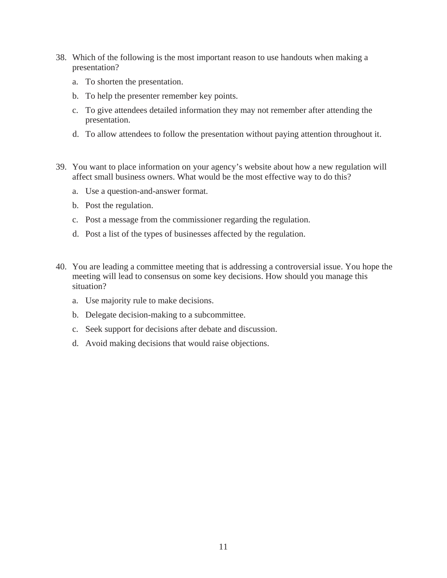- 38. Which of the following is the most important reason to use handouts when making a presentation?
	- a. To shorten the presentation.
	- b. To help the presenter remember key points.
	- c. To give attendees detailed information they may not remember after attending the presentation.
	- d. To allow attendees to follow the presentation without paying attention throughout it.
- 39. You want to place information on your agency's website about how a new regulation will affect small business owners. What would be the most effective way to do this?
	- a. Use a question-and-answer format.
	- b. Post the regulation.
	- c. Post a message from the commissioner regarding the regulation.
	- d. Post a list of the types of businesses affected by the regulation.
- 40. You are leading a committee meeting that is addressing a controversial issue. You hope the meeting will lead to consensus on some key decisions. How should you manage this situation?
	- a. Use majority rule to make decisions.
	- b. Delegate decision-making to a subcommittee.
	- c. Seek support for decisions after debate and discussion.
	- d. Avoid making decisions that would raise objections.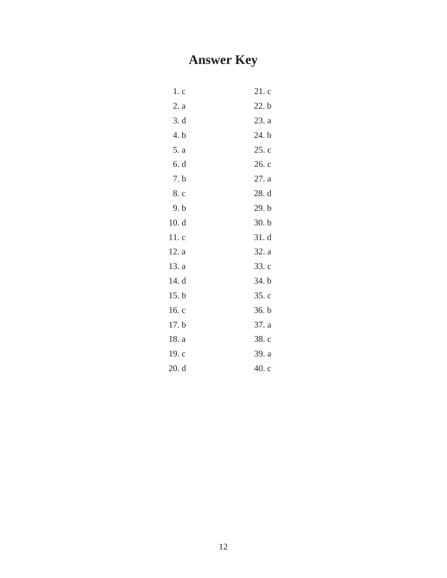# **Answer Key**

| 1 <sub>c</sub> | 21.c  |
|----------------|-------|
| 2. a           | 22. b |
| 3. d           | 23. a |
| 4. b           | 24. b |
| 5. a           | 25.c  |
| 6. d           | 26. c |
| 7. b           | 27. a |
| 8. c           | 28. d |
| 9. b           | 29. b |
| 10.d           | 30. b |
| 11. c          | 31.d  |
| 12. a          | 32. a |
| 13. a          | 33. c |
| 14. d          | 34. b |
| 15.b           | 35.c  |
| 16. c          | 36. b |
| 17. b          | 37. a |
| 18. a          | 38. c |
| 19. c          | 39. a |
| 20. d          | 40c   |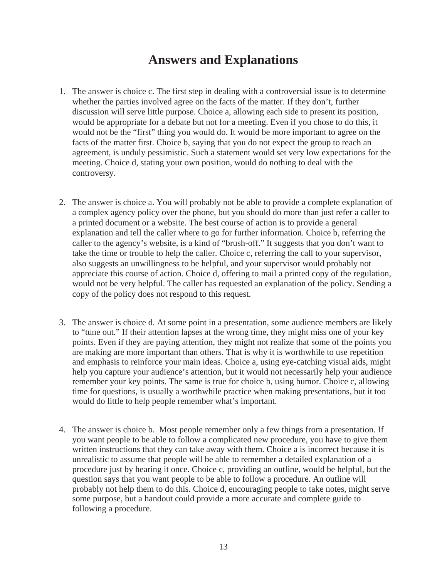## **Answers and Explanations**

- 1. The answer is choice c. The first step in dealing with a controversial issue is to determine whether the parties involved agree on the facts of the matter. If they don't, further discussion will serve little purpose. Choice a, allowing each side to present its position, would be appropriate for a debate but not for a meeting. Even if you chose to do this, it would not be the "first" thing you would do. It would be more important to agree on the facts of the matter first. Choice b, saying that you do not expect the group to reach an agreement, is unduly pessimistic. Such a statement would set very low expectations for the meeting. Choice d, stating your own position, would do nothing to deal with the controversy.
- 2. The answer is choice a. You will probably not be able to provide a complete explanation of a complex agency policy over the phone, but you should do more than just refer a caller to a printed document or a website. The best course of action is to provide a general explanation and tell the caller where to go for further information. Choice b, referring the caller to the agency's website, is a kind of "brush-off." It suggests that you don't want to take the time or trouble to help the caller. Choice c, referring the call to your supervisor, also suggests an unwillingness to be helpful, and your supervisor would probably not appreciate this course of action. Choice d, offering to mail a printed copy of the regulation, would not be very helpful. The caller has requested an explanation of the policy. Sending a copy of the policy does not respond to this request.
- 3. The answer is choice d. At some point in a presentation, some audience members are likely to "tune out." If their attention lapses at the wrong time, they might miss one of your key points. Even if they are paying attention, they might not realize that some of the points you are making are more important than others. That is why it is worthwhile to use repetition and emphasis to reinforce your main ideas. Choice a, using eye-catching visual aids, might help you capture your audience's attention, but it would not necessarily help your audience remember your key points. The same is true for choice b, using humor. Choice c, allowing time for questions, is usually a worthwhile practice when making presentations, but it too would do little to help people remember what's important.
- 4. The answer is choice b. Most people remember only a few things from a presentation. If you want people to be able to follow a complicated new procedure, you have to give them written instructions that they can take away with them. Choice a is incorrect because it is unrealistic to assume that people will be able to remember a detailed explanation of a procedure just by hearing it once. Choice c, providing an outline, would be helpful, but the question says that you want people to be able to follow a procedure. An outline will probably not help them to do this. Choice d, encouraging people to take notes, might serve some purpose, but a handout could provide a more accurate and complete guide to following a procedure.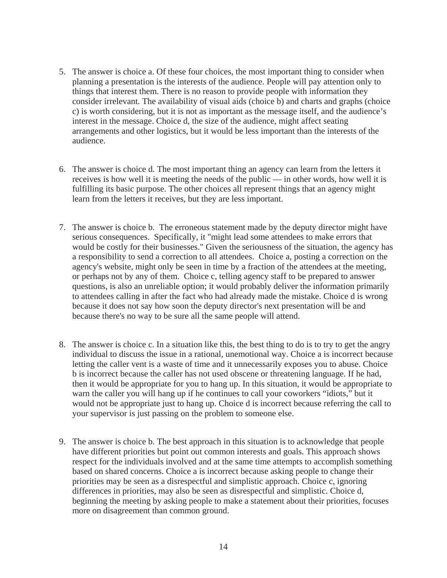- 5. The answer is choice a. Of these four choices, the most important thing to consider when planning a presentation is the interests of the audience. People will pay attention only to things that interest them. There is no reason to provide people with information they consider irrelevant. The availability of visual aids (choice b) and charts and graphs (choice c) is worth considering, but it is not as important as the message itself, and the audience's interest in the message. Choice d, the size of the audience, might affect seating arrangements and other logistics, but it would be less important than the interests of the audience.
- 6. The answer is choice d. The most important thing an agency can learn from the letters it receives is how well it is meeting the needs of the public — in other words, how well it is fulfilling its basic purpose. The other choices all represent things that an agency might learn from the letters it receives, but they are less important.
- 7. The answer is choice b. The erroneous statement made by the deputy director might have serious consequences. Specifically, it "might lead some attendees to make errors that would be costly for their businesses." Given the seriousness of the situation, the agency has a responsibility to send a correction to all attendees. Choice a, posting a correction on the agency's website, might only be seen in time by a fraction of the attendees at the meeting, or perhaps not by any of them. Choice c, telling agency staff to be prepared to answer questions, is also an unreliable option; it would probably deliver the information primarily to attendees calling in after the fact who had already made the mistake. Choice d is wrong because it does not say how soon the deputy director's next presentation will be and because there's no way to be sure all the same people will attend.
- 8. The answer is choice c. In a situation like this, the best thing to do is to try to get the angry individual to discuss the issue in a rational, unemotional way. Choice a is incorrect because letting the caller vent is a waste of time and it unnecessarily exposes you to abuse. Choice b is incorrect because the caller has not used obscene or threatening language. If he had, then it would be appropriate for you to hang up. In this situation, it would be appropriate to warn the caller you will hang up if he continues to call your coworkers "idiots," but it would not be appropriate just to hang up. Choice d is incorrect because referring the call to your supervisor is just passing on the problem to someone else.
- 9. The answer is choice b. The best approach in this situation is to acknowledge that people have different priorities but point out common interests and goals. This approach shows respect for the individuals involved and at the same time attempts to accomplish something based on shared concerns. Choice a is incorrect because asking people to change their priorities may be seen as a disrespectful and simplistic approach. Choice c, ignoring differences in priorities, may also be seen as disrespectful and simplistic. Choice d, beginning the meeting by asking people to make a statement about their priorities, focuses more on disagreement than common ground.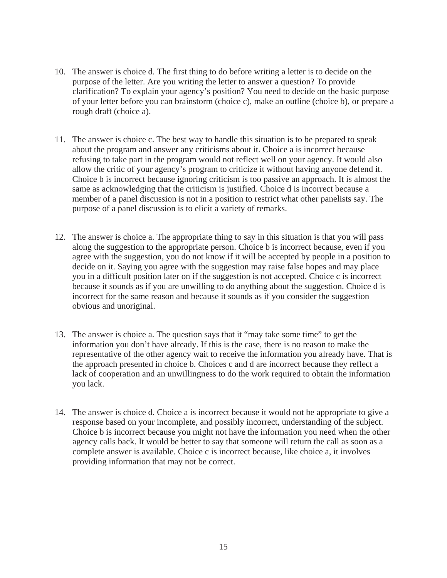- 10. The answer is choice d. The first thing to do before writing a letter is to decide on the purpose of the letter. Are you writing the letter to answer a question? To provide clarification? To explain your agency's position? You need to decide on the basic purpose of your letter before you can brainstorm (choice c), make an outline (choice b), or prepare a rough draft (choice a).
- 11. The answer is choice c. The best way to handle this situation is to be prepared to speak about the program and answer any criticisms about it. Choice a is incorrect because refusing to take part in the program would not reflect well on your agency. It would also allow the critic of your agency's program to criticize it without having anyone defend it. Choice b is incorrect because ignoring criticism is too passive an approach. It is almost the same as acknowledging that the criticism is justified. Choice d is incorrect because a member of a panel discussion is not in a position to restrict what other panelists say. The purpose of a panel discussion is to elicit a variety of remarks.
- 12. The answer is choice a. The appropriate thing to say in this situation is that you will pass along the suggestion to the appropriate person. Choice b is incorrect because, even if you agree with the suggestion, you do not know if it will be accepted by people in a position to decide on it. Saying you agree with the suggestion may raise false hopes and may place you in a difficult position later on if the suggestion is not accepted. Choice c is incorrect because it sounds as if you are unwilling to do anything about the suggestion. Choice d is incorrect for the same reason and because it sounds as if you consider the suggestion obvious and unoriginal.
- 13. The answer is choice a. The question says that it "may take some time" to get the information you don't have already. If this is the case, there is no reason to make the representative of the other agency wait to receive the information you already have. That is the approach presented in choice b. Choices c and d are incorrect because they reflect a lack of cooperation and an unwillingness to do the work required to obtain the information you lack.
- 14. The answer is choice d. Choice a is incorrect because it would not be appropriate to give a response based on your incomplete, and possibly incorrect, understanding of the subject. Choice b is incorrect because you might not have the information you need when the other agency calls back. It would be better to say that someone will return the call as soon as a complete answer is available. Choice c is incorrect because, like choice a, it involves providing information that may not be correct.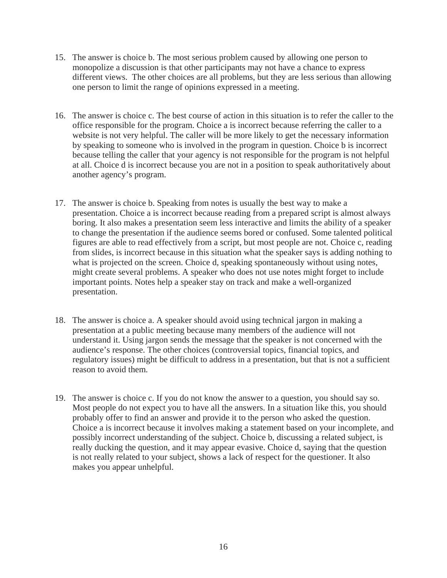- 15. The answer is choice b. The most serious problem caused by allowing one person to monopolize a discussion is that other participants may not have a chance to express different views. The other choices are all problems, but they are less serious than allowing one person to limit the range of opinions expressed in a meeting.
- 16. The answer is choice c. The best course of action in this situation is to refer the caller to the office responsible for the program. Choice a is incorrect because referring the caller to a website is not very helpful. The caller will be more likely to get the necessary information by speaking to someone who is involved in the program in question. Choice b is incorrect because telling the caller that your agency is not responsible for the program is not helpful at all. Choice d is incorrect because you are not in a position to speak authoritatively about another agency's program.
- 17. The answer is choice b. Speaking from notes is usually the best way to make a presentation. Choice a is incorrect because reading from a prepared script is almost always boring. It also makes a presentation seem less interactive and limits the ability of a speaker to change the presentation if the audience seems bored or confused. Some talented political figures are able to read effectively from a script, but most people are not. Choice c, reading from slides, is incorrect because in this situation what the speaker says is adding nothing to what is projected on the screen. Choice d, speaking spontaneously without using notes, might create several problems. A speaker who does not use notes might forget to include important points. Notes help a speaker stay on track and make a well-organized presentation.
- 18. The answer is choice a. A speaker should avoid using technical jargon in making a presentation at a public meeting because many members of the audience will not understand it. Using jargon sends the message that the speaker is not concerned with the audience's response. The other choices (controversial topics, financial topics, and regulatory issues) might be difficult to address in a presentation, but that is not a sufficient reason to avoid them.
- 19. The answer is choice c. If you do not know the answer to a question, you should say so. Most people do not expect you to have all the answers. In a situation like this, you should probably offer to find an answer and provide it to the person who asked the question. Choice a is incorrect because it involves making a statement based on your incomplete, and possibly incorrect understanding of the subject. Choice b, discussing a related subject, is really ducking the question, and it may appear evasive. Choice d, saying that the question is not really related to your subject, shows a lack of respect for the questioner. It also makes you appear unhelpful.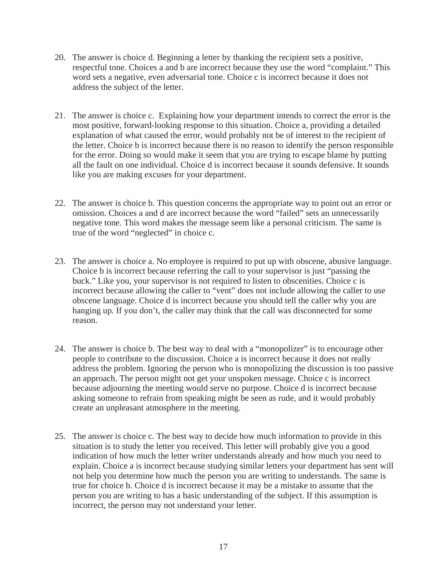- 20. The answer is choice d. Beginning a letter by thanking the recipient sets a positive, respectful tone. Choices a and b are incorrect because they use the word "complaint." This word sets a negative, even adversarial tone. Choice c is incorrect because it does not address the subject of the letter.
- 21. The answer is choice c. Explaining how your department intends to correct the error is the most positive, forward-looking response to this situation. Choice a, providing a detailed explanation of what caused the error, would probably not be of interest to the recipient of the letter. Choice b is incorrect because there is no reason to identify the person responsible for the error. Doing so would make it seem that you are trying to escape blame by putting all the fault on one individual. Choice d is incorrect because it sounds defensive. It sounds like you are making excuses for your department.
- 22. The answer is choice b. This question concerns the appropriate way to point out an error or omission. Choices a and d are incorrect because the word "failed" sets an unnecessarily negative tone. This word makes the message seem like a personal criticism. The same is true of the word "neglected" in choice c.
- 23. The answer is choice a. No employee is required to put up with obscene, abusive language. Choice b is incorrect because referring the call to your supervisor is just "passing the buck." Like you, your supervisor is not required to listen to obscenities. Choice c is incorrect because allowing the caller to "vent" does not include allowing the caller to use obscene language. Choice d is incorrect because you should tell the caller why you are hanging up. If you don't, the caller may think that the call was disconnected for some reason.
- 24. The answer is choice b. The best way to deal with a "monopolizer" is to encourage other people to contribute to the discussion. Choice a is incorrect because it does not really address the problem. Ignoring the person who is monopolizing the discussion is too passive an approach. The person might not get your unspoken message. Choice c is incorrect because adjourning the meeting would serve no purpose. Choice d is incorrect because asking someone to refrain from speaking might be seen as rude, and it would probably create an unpleasant atmosphere in the meeting.
- 25. The answer is choice c. The best way to decide how much information to provide in this situation is to study the letter you received. This letter will probably give you a good indication of how much the letter writer understands already and how much you need to explain. Choice a is incorrect because studying similar letters your department has sent will not help you determine how much the person you are writing to understands. The same is true for choice b. Choice d is incorrect because it may be a mistake to assume that the person you are writing to has a basic understanding of the subject. If this assumption is incorrect, the person may not understand your letter.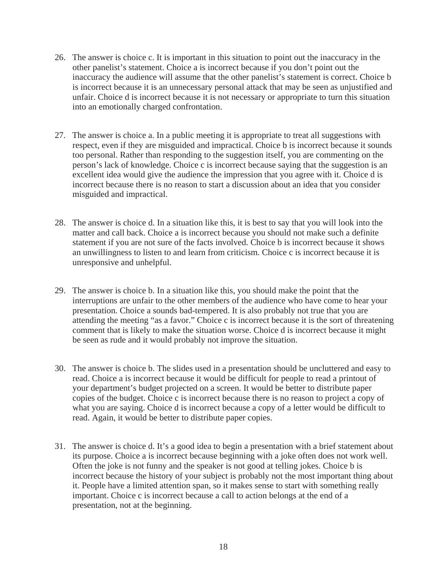- 26. The answer is choice c. It is important in this situation to point out the inaccuracy in the other panelist's statement. Choice a is incorrect because if you don't point out the inaccuracy the audience will assume that the other panelist's statement is correct. Choice b is incorrect because it is an unnecessary personal attack that may be seen as unjustified and unfair. Choice d is incorrect because it is not necessary or appropriate to turn this situation into an emotionally charged confrontation.
- 27. The answer is choice a. In a public meeting it is appropriate to treat all suggestions with respect, even if they are misguided and impractical. Choice b is incorrect because it sounds too personal. Rather than responding to the suggestion itself, you are commenting on the person's lack of knowledge. Choice c is incorrect because saying that the suggestion is an excellent idea would give the audience the impression that you agree with it. Choice d is incorrect because there is no reason to start a discussion about an idea that you consider misguided and impractical.
- 28. The answer is choice d. In a situation like this, it is best to say that you will look into the matter and call back. Choice a is incorrect because you should not make such a definite statement if you are not sure of the facts involved. Choice b is incorrect because it shows an unwillingness to listen to and learn from criticism. Choice c is incorrect because it is unresponsive and unhelpful.
- 29. The answer is choice b. In a situation like this, you should make the point that the interruptions are unfair to the other members of the audience who have come to hear your presentation. Choice a sounds bad-tempered. It is also probably not true that you are attending the meeting "as a favor." Choice c is incorrect because it is the sort of threatening comment that is likely to make the situation worse. Choice d is incorrect because it might be seen as rude and it would probably not improve the situation.
- 30. The answer is choice b. The slides used in a presentation should be uncluttered and easy to read. Choice a is incorrect because it would be difficult for people to read a printout of your department's budget projected on a screen. It would be better to distribute paper copies of the budget. Choice c is incorrect because there is no reason to project a copy of what you are saying. Choice d is incorrect because a copy of a letter would be difficult to read. Again, it would be better to distribute paper copies.
- 31. The answer is choice d. It's a good idea to begin a presentation with a brief statement about its purpose. Choice a is incorrect because beginning with a joke often does not work well. Often the joke is not funny and the speaker is not good at telling jokes. Choice b is incorrect because the history of your subject is probably not the most important thing about it. People have a limited attention span, so it makes sense to start with something really important. Choice c is incorrect because a call to action belongs at the end of a presentation, not at the beginning.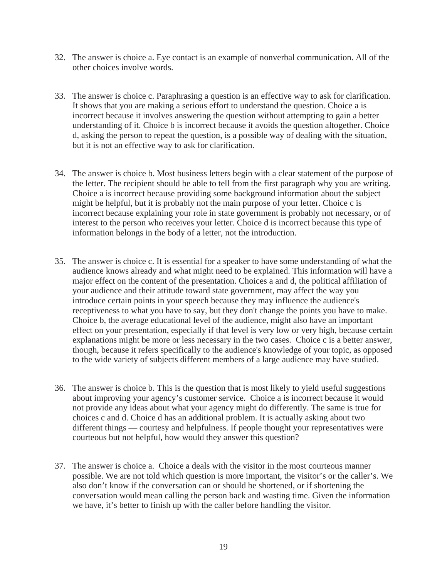- 32. The answer is choice a. Eye contact is an example of nonverbal communication. All of the other choices involve words.
- 33. The answer is choice c. Paraphrasing a question is an effective way to ask for clarification. It shows that you are making a serious effort to understand the question. Choice a is incorrect because it involves answering the question without attempting to gain a better understanding of it. Choice b is incorrect because it avoids the question altogether. Choice d, asking the person to repeat the question, is a possible way of dealing with the situation, but it is not an effective way to ask for clarification.
- 34. The answer is choice b. Most business letters begin with a clear statement of the purpose of the letter. The recipient should be able to tell from the first paragraph why you are writing. Choice a is incorrect because providing some background information about the subject might be helpful, but it is probably not the main purpose of your letter. Choice c is incorrect because explaining your role in state government is probably not necessary, or of interest to the person who receives your letter. Choice d is incorrect because this type of information belongs in the body of a letter, not the introduction.
- 35. The answer is choice c. It is essential for a speaker to have some understanding of what the audience knows already and what might need to be explained. This information will have a major effect on the content of the presentation. Choices a and d, the political affiliation of your audience and their attitude toward state government, may affect the way you introduce certain points in your speech because they may influence the audience's receptiveness to what you have to say, but they don't change the points you have to make. Choice b, the average educational level of the audience, might also have an important effect on your presentation, especially if that level is very low or very high, because certain explanations might be more or less necessary in the two cases. Choice c is a better answer, though, because it refers specifically to the audience's knowledge of your topic, as opposed to the wide variety of subjects different members of a large audience may have studied.
- 36. The answer is choice b. This is the question that is most likely to yield useful suggestions about improving your agency's customer service. Choice a is incorrect because it would not provide any ideas about what your agency might do differently. The same is true for choices c and d. Choice d has an additional problem. It is actually asking about two different things — courtesy and helpfulness. If people thought your representatives were courteous but not helpful, how would they answer this question?
- 37. The answer is choice a. Choice a deals with the visitor in the most courteous manner possible. We are not told which question is more important, the visitor's or the caller's. We also don't know if the conversation can or should be shortened, or if shortening the conversation would mean calling the person back and wasting time. Given the information we have, it's better to finish up with the caller before handling the visitor.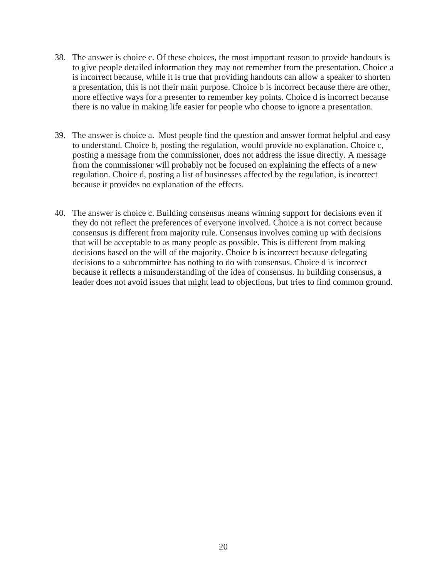- 38. The answer is choice c. Of these choices, the most important reason to provide handouts is to give people detailed information they may not remember from the presentation. Choice a is incorrect because, while it is true that providing handouts can allow a speaker to shorten a presentation, this is not their main purpose. Choice b is incorrect because there are other, more effective ways for a presenter to remember key points. Choice d is incorrect because there is no value in making life easier for people who choose to ignore a presentation.
- 39. The answer is choice a. Most people find the question and answer format helpful and easy to understand. Choice b, posting the regulation, would provide no explanation. Choice c, posting a message from the commissioner, does not address the issue directly. A message from the commissioner will probably not be focused on explaining the effects of a new regulation. Choice d, posting a list of businesses affected by the regulation, is incorrect because it provides no explanation of the effects.
- 40. The answer is choice c. Building consensus means winning support for decisions even if they do not reflect the preferences of everyone involved. Choice a is not correct because consensus is different from majority rule. Consensus involves coming up with decisions that will be acceptable to as many people as possible. This is different from making decisions based on the will of the majority. Choice b is incorrect because delegating decisions to a subcommittee has nothing to do with consensus. Choice d is incorrect because it reflects a misunderstanding of the idea of consensus. In building consensus, a leader does not avoid issues that might lead to objections, but tries to find common ground.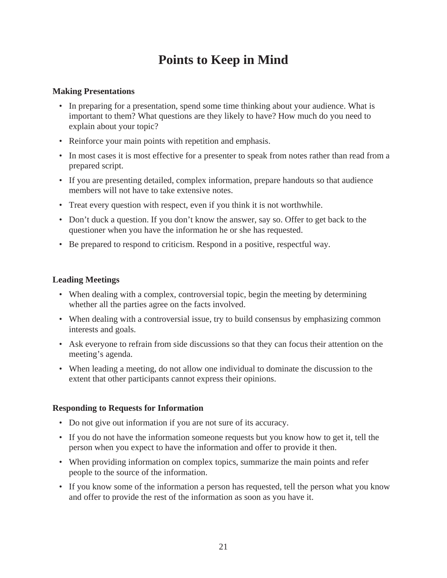# **Points to Keep in Mind**

#### **Making Presentations**

- In preparing for a presentation, spend some time thinking about your audience. What is important to them? What questions are they likely to have? How much do you need to explain about your topic?
- Reinforce your main points with repetition and emphasis.
- In most cases it is most effective for a presenter to speak from notes rather than read from a prepared script.
- If you are presenting detailed, complex information, prepare handouts so that audience members will not have to take extensive notes.
- Treat every question with respect, even if you think it is not worthwhile.
- Don't duck a question. If you don't know the answer, say so. Offer to get back to the questioner when you have the information he or she has requested.
- Be prepared to respond to criticism. Respond in a positive, respectful way.

#### **Leading Meetings**

- When dealing with a complex, controversial topic, begin the meeting by determining whether all the parties agree on the facts involved.
- When dealing with a controversial issue, try to build consensus by emphasizing common interests and goals.
- Ask everyone to refrain from side discussions so that they can focus their attention on the meeting's agenda.
- When leading a meeting, do not allow one individual to dominate the discussion to the extent that other participants cannot express their opinions.

### **Responding to Requests for Information**

- Do not give out information if you are not sure of its accuracy.
- If you do not have the information someone requests but you know how to get it, tell the person when you expect to have the information and offer to provide it then.
- When providing information on complex topics, summarize the main points and refer people to the source of the information.
- If you know some of the information a person has requested, tell the person what you know and offer to provide the rest of the information as soon as you have it.